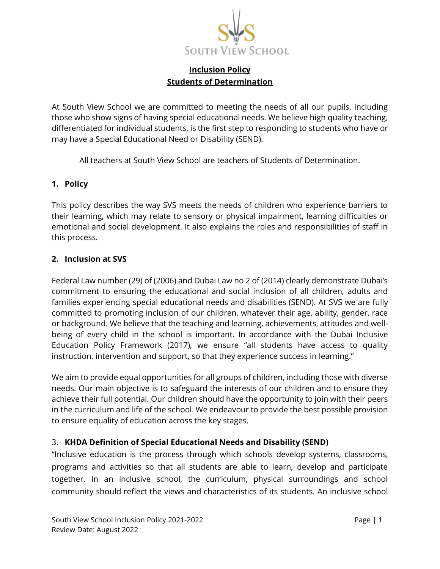

# **Inclusion Policy Students of Determination**

At South View School we are committed to meeting the needs of all our pupils, including those who show signs of having special educational needs. We believe high quality teaching, differentiated for individual students, is the first step to responding to students who have or may have a Special Educational Need or Disability (SEND).

All teachers at South View School are teachers of Students of Determination.

#### **1. Policy**

This policy describes the way SVS meets the needs of children who experience barriers to their learning, which may relate to sensory or physical impairment, learning difficulties or emotional and social development. It also explains the roles and responsibilities of staff in this process.

#### **2. Inclusion at SVS**

Federal Law number (29) of (2006) and Dubai Law no 2 of (2014) clearly demonstrate Dubai's commitment to ensuring the educational and social inclusion of all children, adults and families experiencing special educational needs and disabilities (SEND). At SVS we are fully committed to promoting inclusion of our children, whatever their age, ability, gender, race or background. We believe that the teaching and learning, achievements, attitudes and wellbeing of every child in the school is important. In accordance with the Dubai Inclusive Education Policy Framework (2017), we ensure "all students have access to quality instruction, intervention and support, so that they experience success in learning."

We aim to provide equal opportunities for all groups of children, including those with diverse needs. Our main objective is to safeguard the interests of our children and to ensure they achieve their full potential. Our children should have the opportunity to join with their peers in the curriculum and life of the school. We endeavour to provide the best possible provision to ensure equality of education across the key stages.

#### 3. **KHDA Definition of Special Educational Needs and Disability (SEND)**

"Inclusive education is the process through which schools develop systems, classrooms, programs and activities so that all students are able to learn, develop and participate together. In an inclusive school, the curriculum, physical surroundings and school community should reflect the views and characteristics of its students. An inclusive school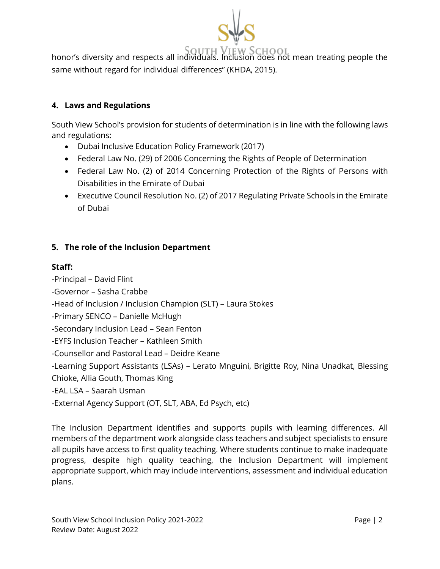

SOUTH VIEW SCHOOL<br>honor's diversity and respects all individuals. Inclusion does not mean treating people the same without regard for individual differences" (KHDA, 2015).

# **4. Laws and Regulations**

South View School's provision for students of determination is in line with the following laws and regulations:

- Dubai Inclusive Education Policy Framework (2017)
- Federal Law No. (29) of 2006 Concerning the Rights of People of Determination
- Federal Law No. (2) of 2014 Concerning Protection of the Rights of Persons with Disabilities in the Emirate of Dubai
- Executive Council Resolution No. (2) of 2017 Regulating Private Schools in the Emirate of Dubai

# **5. The role of the Inclusion Department**

## **Staff:**

-Principal – David Flint -Governor – Sasha Crabbe -Head of Inclusion / Inclusion Champion (SLT) – Laura Stokes -Primary SENCO – Danielle McHugh -Secondary Inclusion Lead – Sean Fenton -EYFS Inclusion Teacher – Kathleen Smith -Counsellor and Pastoral Lead – Deidre Keane -Learning Support Assistants (LSAs) – Lerato Mnguini, Brigitte Roy, Nina Unadkat, Blessing Chioke, Allia Gouth, Thomas King -EAL LSA – Saarah Usman

-External Agency Support (OT, SLT, ABA, Ed Psych, etc)

The Inclusion Department identifies and supports pupils with learning differences. All members of the department work alongside class teachers and subject specialists to ensure all pupils have access to first quality teaching. Where students continue to make inadequate progress, despite high quality teaching, the Inclusion Department will implement appropriate support, which may include interventions, assessment and individual education plans.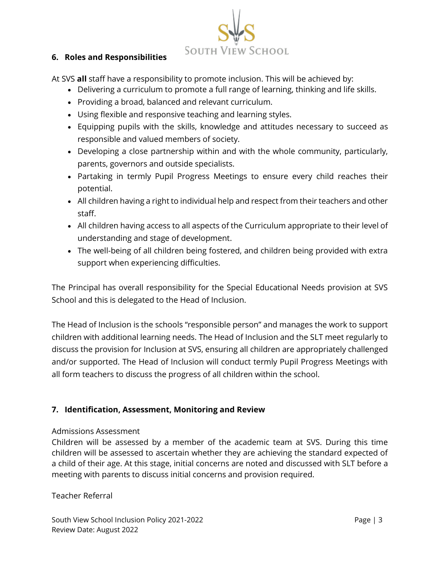SOUTH VIEW SCHOOL

#### **6. Roles and Responsibilities**

At SVS **all** staff have a responsibility to promote inclusion. This will be achieved by:

- Delivering a curriculum to promote a full range of learning, thinking and life skills.
- Providing a broad, balanced and relevant curriculum.
- Using flexible and responsive teaching and learning styles.
- Equipping pupils with the skills, knowledge and attitudes necessary to succeed as responsible and valued members of society.
- Developing a close partnership within and with the whole community, particularly, parents, governors and outside specialists.
- Partaking in termly Pupil Progress Meetings to ensure every child reaches their potential.
- All children having a right to individual help and respect from their teachers and other staff.
- All children having access to all aspects of the Curriculum appropriate to their level of understanding and stage of development.
- The well-being of all children being fostered, and children being provided with extra support when experiencing difficulties.

The Principal has overall responsibility for the Special Educational Needs provision at SVS School and this is delegated to the Head of Inclusion.

The Head of Inclusion is the schools "responsible person" and manages the work to support children with additional learning needs. The Head of Inclusion and the SLT meet regularly to discuss the provision for Inclusion at SVS, ensuring all children are appropriately challenged and/or supported. The Head of Inclusion will conduct termly Pupil Progress Meetings with all form teachers to discuss the progress of all children within the school.

# **7. Identification, Assessment, Monitoring and Review**

#### Admissions Assessment

Children will be assessed by a member of the academic team at SVS. During this time children will be assessed to ascertain whether they are achieving the standard expected of a child of their age. At this stage, initial concerns are noted and discussed with SLT before a meeting with parents to discuss initial concerns and provision required.

Teacher Referral

South View School Inclusion Policy 2021-2022 **Page | 3** All 2021 2022 Review Date: August 2022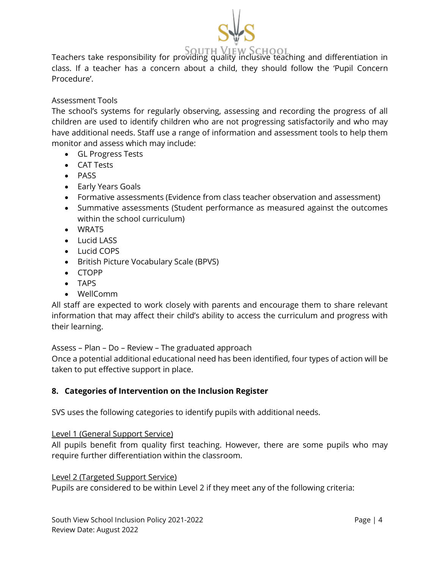

SOUTH VIEW SCHOOL<br>Teachers take responsibility for providing quality inclusive teaching and differentiation in class. If a teacher has a concern about a child, they should follow the 'Pupil Concern Procedure'.

## Assessment Tools

The school's systems for regularly observing, assessing and recording the progress of all children are used to identify children who are not progressing satisfactorily and who may have additional needs. Staff use a range of information and assessment tools to help them monitor and assess which may include:

- GL Progress Tests
- CAT Tests
- PASS
- Early Years Goals
- Formative assessments (Evidence from class teacher observation and assessment)
- Summative assessments (Student performance as measured against the outcomes within the school curriculum)
- WRAT5
- Lucid LASS
- Lucid COPS
- British Picture Vocabulary Scale (BPVS)
- CTOPP
- TAPS
- WellComm

All staff are expected to work closely with parents and encourage them to share relevant information that may affect their child's ability to access the curriculum and progress with their learning.

Assess – Plan – Do – Review – The graduated approach

Once a potential additional educational need has been identified, four types of action will be taken to put effective support in place.

#### **8. Categories of Intervention on the Inclusion Register**

SVS uses the following categories to identify pupils with additional needs.

#### Level 1 (General Support Service)

All pupils benefit from quality first teaching. However, there are some pupils who may require further differentiation within the classroom.

#### Level 2 (Targeted Support Service)

Pupils are considered to be within Level 2 if they meet any of the following criteria: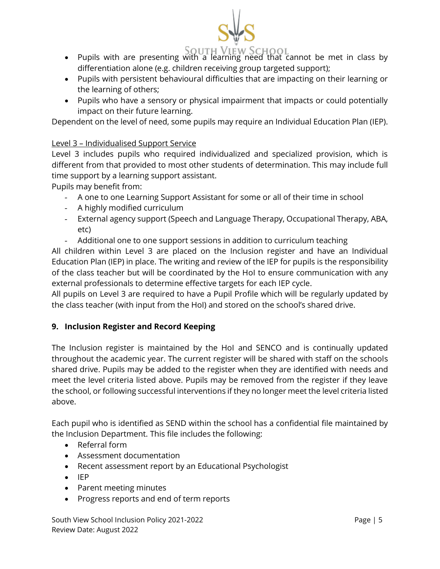

# • Pupils with are presenting with a learning need that cannot be met in class by differentiation alone (e.g. children receiving group targeted support);

- Pupils with persistent behavioural difficulties that are impacting on their learning or the learning of others;
- Pupils who have a sensory or physical impairment that impacts or could potentially impact on their future learning.

Dependent on the level of need, some pupils may require an Individual Education Plan (IEP).

# Level 3 – Individualised Support Service

Level 3 includes pupils who required individualized and specialized provision, which is different from that provided to most other students of determination. This may include full time support by a learning support assistant.

Pupils may benefit from:

- A one to one Learning Support Assistant for some or all of their time in school
- A highly modified curriculum
- External agency support (Speech and Language Therapy, Occupational Therapy, ABA, etc)
- Additional one to one support sessions in addition to curriculum teaching

All children within Level 3 are placed on the Inclusion register and have an Individual Education Plan (IEP) in place. The writing and review of the IEP for pupils is the responsibility of the class teacher but will be coordinated by the HoI to ensure communication with any external professionals to determine effective targets for each IEP cycle.

All pupils on Level 3 are required to have a Pupil Profile which will be regularly updated by the class teacher (with input from the HoI) and stored on the school's shared drive.

# **9. Inclusion Register and Record Keeping**

The Inclusion register is maintained by the HoI and SENCO and is continually updated throughout the academic year. The current register will be shared with staff on the schools shared drive. Pupils may be added to the register when they are identified with needs and meet the level criteria listed above. Pupils may be removed from the register if they leave the school, or following successful interventions if they no longer meet the level criteria listed above.

Each pupil who is identified as SEND within the school has a confidential file maintained by the Inclusion Department. This file includes the following:

- Referral form
- Assessment documentation
- Recent assessment report by an Educational Psychologist
- IEP
- Parent meeting minutes
- Progress reports and end of term reports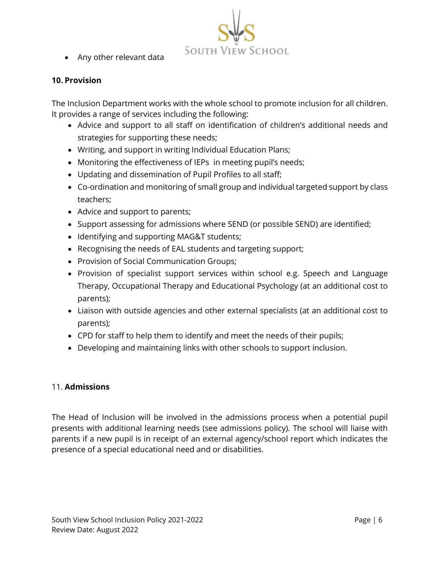

• Any other relevant data

#### **10. Provision**

The Inclusion Department works with the whole school to promote inclusion for all children. It provides a range of services including the following:

- Advice and support to all staff on identification of children's additional needs and strategies for supporting these needs;
- Writing, and support in writing Individual Education Plans;
- Monitoring the effectiveness of IEPs in meeting pupil's needs;
- Updating and dissemination of Pupil Profiles to all staff;
- Co-ordination and monitoring of small group and individual targeted support by class teachers;
- Advice and support to parents;
- Support assessing for admissions where SEND (or possible SEND) are identified;
- Identifying and supporting MAG&T students;
- Recognising the needs of EAL students and targeting support;
- Provision of Social Communication Groups;
- Provision of specialist support services within school e.g. Speech and Language Therapy, Occupational Therapy and Educational Psychology (at an additional cost to parents);
- Liaison with outside agencies and other external specialists (at an additional cost to parents);
- CPD for staff to help them to identify and meet the needs of their pupils;
- Developing and maintaining links with other schools to support inclusion.

#### 11. **Admissions**

The Head of Inclusion will be involved in the admissions process when a potential pupil presents with additional learning needs (see admissions policy). The school will liaise with parents if a new pupil is in receipt of an external agency/school report which indicates the presence of a special educational need and or disabilities.